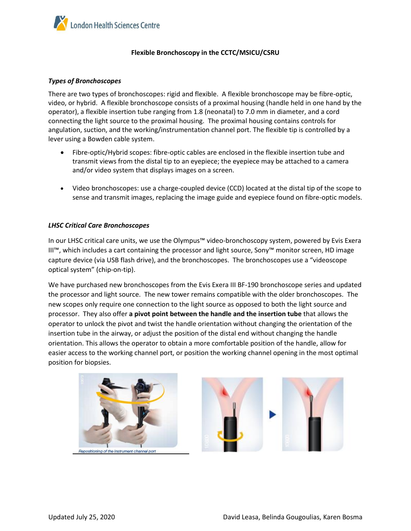

#### **Flexible Bronchoscopy in the CCTC/MSICU/CSRU**

#### *Types of Bronchoscopes*

There are two types of bronchoscopes: rigid and flexible. A flexible bronchoscope may be fibre-optic, video, or hybrid. A flexible bronchoscope consists of a proximal housing (handle held in one hand by the operator), a flexible insertion tube ranging from 1.8 (neonatal) to 7.0 mm in diameter, and a cord connecting the light source to the proximal housing. The proximal housing contains controls for angulation, suction, and the working/instrumentation channel port. The flexible tip is controlled by a lever using a Bowden cable system.

- Fibre-optic/Hybrid scopes: fibre-optic cables are enclosed in the flexible insertion tube and transmit views from the distal tip to an eyepiece; the eyepiece may be attached to a camera and/or video system that displays images on a screen.
- Video bronchoscopes: use a charge-coupled device (CCD) located at the distal tip of the scope to sense and transmit images, replacing the image guide and eyepiece found on fibre-optic models.

#### *LHSC Critical Care Bronchoscopes*

In our LHSC critical care units, we use the Olympus™ video-bronchoscopy system, powered by Evis Exera III™, which includes a cart containing the processor and light source, Sony™ monitor screen, HD image capture device (via USB flash drive), and the bronchoscopes. The bronchoscopes use a "videoscope optical system" (chip-on-tip).

We have purchased new bronchoscopes from the Evis Exera III BF-190 bronchoscope series and updated the processor and light source. The new tower remains compatible with the older bronchoscopes. The new scopes only require one connection to the light source as opposed to both the light source and processor. They also offer **a pivot point between the handle and the insertion tube** that allows the operator to unlock the pivot and twist the handle orientation without changing the orientation of the insertion tube in the airway, or adjust the position of the distal end without changing the handle orientation. This allows the operator to obtain a more comfortable position of the handle, allow for easier access to the working channel port, or position the working channel opening in the most optimal position for biopsies.

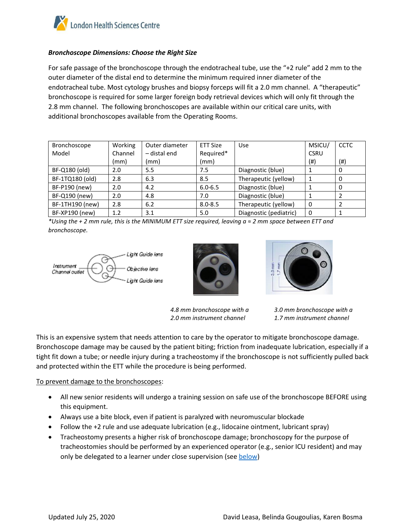

# *Bronchoscope Dimensions: Choose the Right Size*

For safe passage of the bronchoscope through the endotracheal tube, use the "+2 rule" add 2 mm to the outer diameter of the distal end to determine the minimum required inner diameter of the endotracheal tube. Most cytology brushes and biopsy forceps will fit a 2.0 mm channel. A "therapeutic" bronchoscope is required for some larger foreign body retrieval devices which will only fit through the 2.8 mm channel. The following bronchoscopes are available within our critical care units, with additional bronchoscopes available from the Operating Rooms.

| Bronchoscope    | Working | Outer diameter | ETT Size    | <b>Use</b>             | MSICU/      | <b>CCTC</b> |
|-----------------|---------|----------------|-------------|------------------------|-------------|-------------|
| Model           | Channel | - distal end   | Required*   |                        | <b>CSRU</b> |             |
|                 | (mm)    | (mm)           | (mm)        |                        | (#)         | (# )        |
| BF-Q180 (old)   | 2.0     | 5.5            | 7.5         | Diagnostic (blue)      |             | 0           |
| BF-1TQ180 (old) | 2.8     | 6.3            | 8.5         | Therapeutic (yellow)   |             | 0           |
| BF-P190 (new)   | 2.0     | 4.2            | $6.0 - 6.5$ | Diagnostic (blue)      |             | 0           |
| BF-Q190 (new)   | 2.0     | 4.8            | 7.0         | Diagnostic (blue)      |             | 2           |
| BF-1TH190 (new) | 2.8     | 6.2            | $8.0 - 8.5$ | Therapeutic (yellow)   | $\Omega$    | 2           |
| BF-XP190 (new)  | 1.2     | 3.1            | 5.0         | Diagnostic (pediatric) | $\Omega$    |             |

*\*Using the + 2 mm rule, this is the MINIMUM ETT size required, leaving a ≈ 2 mm space between ETT and bronchoscope.* 





*4.8 mm bronchoscope with a 2.0 mm instrument channel*



*3.0 mm bronchoscope with a 1.7 mm instrument channel*

This is an expensive system that needs attention to care by the operator to mitigate bronchoscope damage. Bronchoscope damage may be caused by the patient biting; friction from inadequate lubrication, especially if a tight fit down a tube; or needle injury during a tracheostomy if the bronchoscope is not sufficiently pulled back and protected within the ETT while the procedure is being performed.

# To prevent damage to the bronchoscopes:

- All new senior residents will undergo a training session on safe use of the bronchoscope BEFORE using this equipment.
- Always use a bite block, even if patient is paralyzed with neuromuscular blockade
- Follow the +2 rule and use adequate lubrication (e.g., lidocaine ointment, lubricant spray)
- Tracheostomy presents a higher risk of bronchoscope damage; bronchoscopy for the purpose of tracheostomies should be performed by an experienced operator (e.g., senior ICU resident) and may only be delegated to a learner under close supervision (see [below\)](#page-3-0)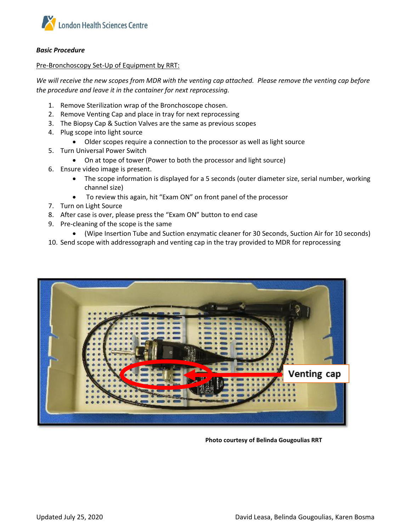

#### *Basic Procedure*

Pre-Bronchoscopy Set-Up of Equipment by RRT:

*We will receive the new scopes from MDR with the venting cap attached. Please remove the venting cap before the procedure and leave it in the container for next reprocessing.*

- 1. Remove Sterilization wrap of the Bronchoscope chosen.
- 2. Remove Venting Cap and place in tray for next reprocessing
- 3. The Biopsy Cap & Suction Valves are the same as previous scopes
- 4. Plug scope into light source
	- Older scopes require a connection to the processor as well as light source
- 5. Turn Universal Power Switch
	- On at tope of tower (Power to both the processor and light source)
- 6. Ensure video image is present.
	- The scope information is displayed for a 5 seconds (outer diameter size, serial number, working channel size)
	- To review this again, hit "Exam ON" on front panel of the processor
- 7. Turn on Light Source
- 8. After case is over, please press the "Exam ON" button to end case
- 9. Pre-cleaning of the scope is the same
	- (Wipe Insertion Tube and Suction enzymatic cleaner for 30 Seconds, Suction Air for 10 seconds)
- 10. Send scope with addressograph and venting cap in the tray provided to MDR for reprocessing



**Photo courtesy of Belinda Gougoulias RRT**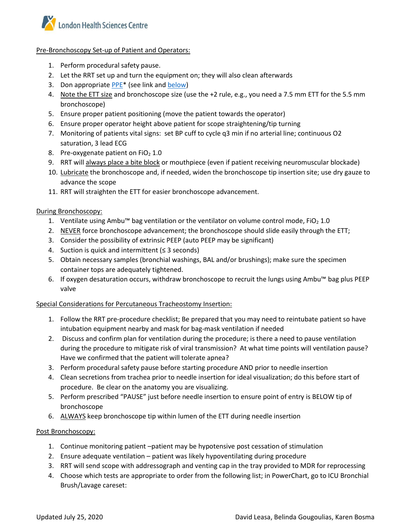

#### Pre-Bronchoscopy Set-up of Patient and Operators:

- 1. Perform procedural safety pause.
- 2. Let the RRT set up and turn the equipment on; they will also clean afterwards
- 3. Don appropriate PPE<sup>\*</sup> (see link and [below\)](#page-4-0)
- 4. Note the ETT size and bronchoscope size (use the +2 rule, e.g., you need a 7.5 mm ETT for the 5.5 mm bronchoscope)
- 5. Ensure proper patient positioning (move the patient towards the operator)
- 6. Ensure proper operator height above patient for scope straightening/tip turning
- 7. Monitoring of patients vital signs: set BP cuff to cycle q3 min if no arterial line; continuous O2 saturation, 3 lead ECG
- 8. Pre-oxygenate patient on  $FiO<sub>2</sub> 1.0$
- 9. RRT will always place a bite block or mouthpiece (even if patient receiving neuromuscular blockade)
- 10. Lubricate the bronchoscope and, if needed, widen the bronchoscope tip insertion site; use dry gauze to advance the scope
- 11. RRT will straighten the ETT for easier bronchoscope advancement.

# During Bronchoscopy:

- 1. Ventilate using Ambu™ bag ventilation or the ventilator on volume control mode, FiO<sub>2</sub> 1.0
- 2. NEVER force bronchoscope advancement; the bronchoscope should slide easily through the ETT;
- 3. Consider the possibility of extrinsic PEEP (auto PEEP may be significant)
- 4. Suction is quick and intermittent (≤ 3 seconds)
- 5. Obtain necessary samples (bronchial washings, BAL and/or brushings); make sure the specimen container tops are adequately tightened.
- 6. If oxygen desaturation occurs, withdraw bronchoscope to recruit the lungs using Ambu™ bag plus PEEP valve

# <span id="page-3-0"></span>Special Considerations for Percutaneous Tracheostomy Insertion:

- 1. Follow the RRT pre-procedure checklist; Be prepared that you may need to reintubate patient so have intubation equipment nearby and mask for bag-mask ventilation if needed
- 2. Discuss and confirm plan for ventilation during the procedure; is there a need to pause ventilation during the procedure to mitigate risk of viral transmission? At what time points will ventilation pause? Have we confirmed that the patient will tolerate apnea?
- 3. Perform procedural safety pause before starting procedure AND prior to needle insertion
- 4. Clean secretions from trachea prior to needle insertion for ideal visualization; do this before start of procedure. Be clear on the anatomy you are visualizing.
- 5. Perform prescribed "PAUSE" just before needle insertion to ensure point of entry is BELOW tip of bronchoscope
- 6. ALWAYS keep bronchoscope tip within lumen of the ETT during needle insertion

# Post Bronchoscopy:

- 1. Continue monitoring patient –patient may be hypotensive post cessation of stimulation
- 2. Ensure adequate ventilation patient was likely hypoventilating during procedure
- 3. RRT will send scope with addressograph and venting cap in the tray provided to MDR for reprocessing
- 4. Choose which tests are appropriate to order from the following list; in PowerChart, go to ICU Bronchial Brush/Lavage careset: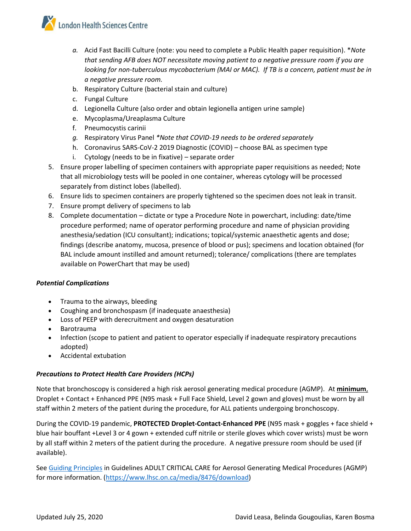

- *a.* Acid Fast Bacilli Culture (note: you need to complete a Public Health paper requisition). \**Note that sending AFB does NOT necessitate moving patient to a negative pressure room if you are looking for non-tuberculous mycobacterium (MAI or MAC). If TB is a concern, patient must be in a negative pressure room.*
- b. Respiratory Culture (bacterial stain and culture)
- c. Fungal Culture
- d. Legionella Culture (also order and obtain legionella antigen urine sample)
- e. Mycoplasma/Ureaplasma Culture
- f. Pneumocystis carinii
- *g.* Respiratory Virus Panel *\*Note that COVID-19 needs to be ordered separately*
- h. Coronavirus SARS-CoV-2 2019 Diagnostic (COVID) choose BAL as specimen type
- i. Cytology (needs to be in fixative) separate order
- 5. Ensure proper labelling of specimen containers with appropriate paper requisitions as needed; Note that all microbiology tests will be pooled in one container, whereas cytology will be processed separately from distinct lobes (labelled).
- 6. Ensure lids to specimen containers are properly tightened so the specimen does not leak in transit.
- 7. Ensure prompt delivery of specimens to lab
- 8. Complete documentation dictate or type a Procedure Note in powerchart, including: date/time procedure performed; name of operator performing procedure and name of physician providing anesthesia/sedation (ICU consultant); indications; topical/systemic anaesthetic agents and dose; findings (describe anatomy, mucosa, presence of blood or pus); specimens and location obtained (for BAL include amount instilled and amount returned); tolerance/ complications (there are templates available on PowerChart that may be used)

# *Potential Complications*

- Trauma to the airways, bleeding
- Coughing and bronchospasm (if inadequate anaesthesia)
- Loss of PEEP with derecruitment and oxygen desaturation
- Barotrauma
- Infection (scope to patient and patient to operator especially if inadequate respiratory precautions adopted)
- Accidental extubation

# <span id="page-4-0"></span>*Precautions to Protect Health Care Providers (HCPs)*

Note that bronchoscopy is considered a high risk aerosol generating medical procedure (AGMP). At **minimum**, Droplet + Contact + Enhanced PPE (N95 mask + Full Face Shield, Level 2 gown and gloves) must be worn by all staff within 2 meters of the patient during the procedure, for ALL patients undergoing bronchoscopy.

During the COVID-19 pandemic, **PROTECTED Droplet-Contact-Enhanced PPE** (N95 mask + goggles + face shield + blue hair bouffant +Level 3 or 4 gown + extended cuff nitrile or sterile gloves which cover wrists) must be worn by all staff within 2 meters of the patient during the procedure. A negative pressure room should be used (if available).

Se[e Guiding Principles](https://www.lhsc.on.ca/media/8476/download) in Guidelines ADULT CRITICAL CARE for Aerosol Generating Medical Procedures (AGMP) for more information. [\(https://www.lhsc.on.ca/media/8476/download\)](https://www.lhsc.on.ca/media/8476/download)